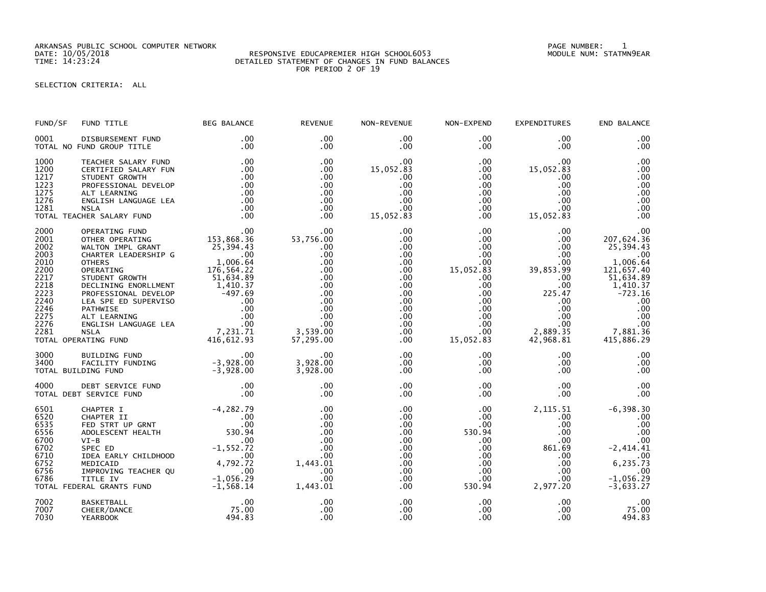ARKANSAS PUBLIC SCHOOL COMPUTER NETWORK PAGE NUMBER: 1

## RESPONSIVE EDUCAPREMIER HIGH SCHOOL6053 TIME: 14:23:24 DETAILED STATEMENT OF CHANGES IN FUND BALANCES FOR PERIOD 2 OF 19

## SELECTION CRITERIA: ALL

| FUND/SF                                                                                                      | FUND TITLE                                                                                                                                                                                                                                                               | <b>BEG BALANCE</b>                                   | <b>REVENUE</b>                                                                                                                | NON-REVENUE                                                                                                               | NON-EXPEND                                                                                                                                                                 | <b>EXPENDITURES</b>                                                                                                                      | END BALANCE                                                                                                                                              |
|--------------------------------------------------------------------------------------------------------------|--------------------------------------------------------------------------------------------------------------------------------------------------------------------------------------------------------------------------------------------------------------------------|------------------------------------------------------|-------------------------------------------------------------------------------------------------------------------------------|---------------------------------------------------------------------------------------------------------------------------|----------------------------------------------------------------------------------------------------------------------------------------------------------------------------|------------------------------------------------------------------------------------------------------------------------------------------|----------------------------------------------------------------------------------------------------------------------------------------------------------|
| 0001                                                                                                         | DISBURSEMENT FUND<br>TOTAL NO FUND GROUP TITLE                                                                                                                                                                                                                           | $.00 \,$<br>.00                                      | $.00 \times$<br>$.00 \times$                                                                                                  | $.00 \,$<br>$.00 \,$                                                                                                      | $.00 \,$<br>$.00 \,$                                                                                                                                                       | $.00 \,$<br>.00.                                                                                                                         | .00<br>.00                                                                                                                                               |
| 1000<br>1200<br>1217<br>1223<br>1275<br>1276<br>1281                                                         | TEACHER SALARY FUND<br>CERTIFIED SALARY FUN<br>STUDENT GROWTH<br>PROFESSIONAL DEVELOP<br>ALT LEARNING<br>ENGLISH LANGUAGE LEA<br><b>NSLA</b><br>TOTAL TEACHER SALARY FUND                                                                                                | .00<br>.00<br>.00<br>.00<br>.00<br>.00<br>.00<br>.00 | .00<br>.00<br>.00<br>.00<br>.00<br>.00<br>.00<br>.00                                                                          | .00<br>15,052.83<br>.00<br>.00<br>.00<br>.00<br>.00<br>15,052.83                                                          | $.00 \,$<br>$.00 \,$<br>$.00 \,$<br>$.00 \,$<br>.00<br>$.00 \,$<br>.00<br>$.00 \,$                                                                                         | .00<br>15,052.83<br>$.00 \,$<br>.00<br>.00<br>.00<br>.00<br>15,052.83                                                                    | .00<br>.00<br>.00<br>.00<br>.00<br>.00<br>.00<br>.00                                                                                                     |
| 2000<br>2001<br>2002<br>2003<br>2010<br>2200<br>2217<br>2218<br>2223<br>2240<br>2246<br>2275<br>2276<br>2281 | CHER SALARY FUND<br>OPERATING FUND<br>OTHER OPERATING 153,868.36<br>WALTON IMPL GRANT 25,394.43<br>CHARTER LEADERSHIP G .00<br>OTHERS AND 25,394.43<br>CHARTER LEADERSHIP G .00<br>OPERATING 176,564.22<br>STUDENT GROWTH 51,634.89<br>DECLINING<br>TOTAL OPERATING FUND |                                                      | .00<br>00.<br>53,756.00<br>.00<br>.00<br>.00<br>.00<br>.00<br>.00<br>.00<br>.00<br>.00<br>.00<br>.00<br>3,539.00<br>57,295.00 | .00<br>.00<br>.00<br>.00<br>.00<br>$.00 \,$<br>.00<br>.00<br>.00<br>$.00 \,$<br>$.00 \,$<br>.00<br>.00<br>$.00 \,$<br>.00 | .00 <sub>1</sub><br>.00<br>.00<br>$.00 \,$<br>.00<br>15,052.83<br>$.00 \,$<br>$.00 \,$<br>.00 <sub>1</sub><br>$.00\,$<br>$.00\,$<br>$.00\,$<br>.00<br>$.00\,$<br>15,052.83 | .00<br>.00<br>.00<br>.00<br>.00<br>39,853.99<br>$.00 \,$<br>.00<br>225.47<br>.00<br>$.00 \,$<br>$.00 \,$<br>.00<br>2,889.35<br>42,968.81 | .00<br>207,624.36<br>25,394.43<br>.00<br>1,006.64<br>121,657.40<br>51,634.89<br>$\frac{1,410.37}{-723.16}$<br>.00<br>.00<br>.00<br>$7,881.36$<br>415 884 |
| 3000<br>3400                                                                                                 | BUILDING FUND<br>00.<br>FACILITY FUNDING -3,928.00<br>DING FUND -3,928.00<br>TOTAL BUILDING FUND                                                                                                                                                                         | $\sim$ .00                                           | .00<br>3,928.00<br>3,928.00                                                                                                   | $.00 \,$<br>$.00 \,$<br>$.00 \,$                                                                                          | $.00 \,$<br>$.00 \,$<br>$.00 \,$                                                                                                                                           | $.00 \,$<br>$.00 \,$<br>.00                                                                                                              | .00<br>.00<br>.00                                                                                                                                        |
| 4000                                                                                                         | TOTAL DEBT SERVICE FUND                                                                                                                                                                                                                                                  |                                                      | .00<br>.00                                                                                                                    | .00<br>.00                                                                                                                | $.00 \,$<br>$.00 \,$                                                                                                                                                       | $.00 \,$<br>.00 <sub>1</sub>                                                                                                             | .00<br>.00                                                                                                                                               |
|                                                                                                              | 4,282.79<br>6520 CHAPTER I -4,282.79<br>6535 FED STRT UP GRNT .00<br>6556 ADOLESCENT HEALTH 530.94<br>6700 VI-B .00<br>6702 SPEC ED .00<br>6752 MEDICAID 4,792.72<br>6752 MEDICAID 4,792.72<br>6756 IMPROVING TEACHER QU .00<br>6786 TITLE IV .0                         |                                                      | .00<br>.00<br>.00<br>.00<br>.00<br>.00<br>.00<br>1,443.01<br>.00<br>.00<br>1,443.01                                           | .00<br>.00<br>.00<br>.00<br>.00<br>.00<br>.00<br>$.00 \,$<br>.00<br>$.00 \,$<br>.00                                       | $.00 \,$<br>$.00 \,$<br>.00<br>530.94<br>$.00 \,$<br>$.00 \,$<br>.00 <sub>1</sub><br>$.00\,$<br>$.00\,$<br>.00<br>530.94                                                   | 2, 115.51<br>$.00 \,$<br>.00<br>$.00 \,$<br>$.00 \,$<br>861.69<br>.00<br>.00<br>$.00 \,$<br>$.00 \,$<br>2,977.20                         | $-6, 398.30$<br>.00<br>.00<br>.00<br>.00<br>$-2, 414.41$<br>6, 235.73<br>.00<br>$-1,056.29$<br>$-3,633.27$                                               |
| 7002<br>7007<br>7030                                                                                         | <b>BASKETBALL</b><br>CHEER/DANCE<br><b>YEARBOOK</b>                                                                                                                                                                                                                      | .00<br>75.00<br>494.83                               | .00<br>.00<br>.00                                                                                                             | .00<br>.00<br>.00                                                                                                         | $.00 \,$<br>$.00 \,$<br>.00                                                                                                                                                | .00<br>$.00 \,$<br>.00                                                                                                                   | .00<br>75.00<br>494.83                                                                                                                                   |